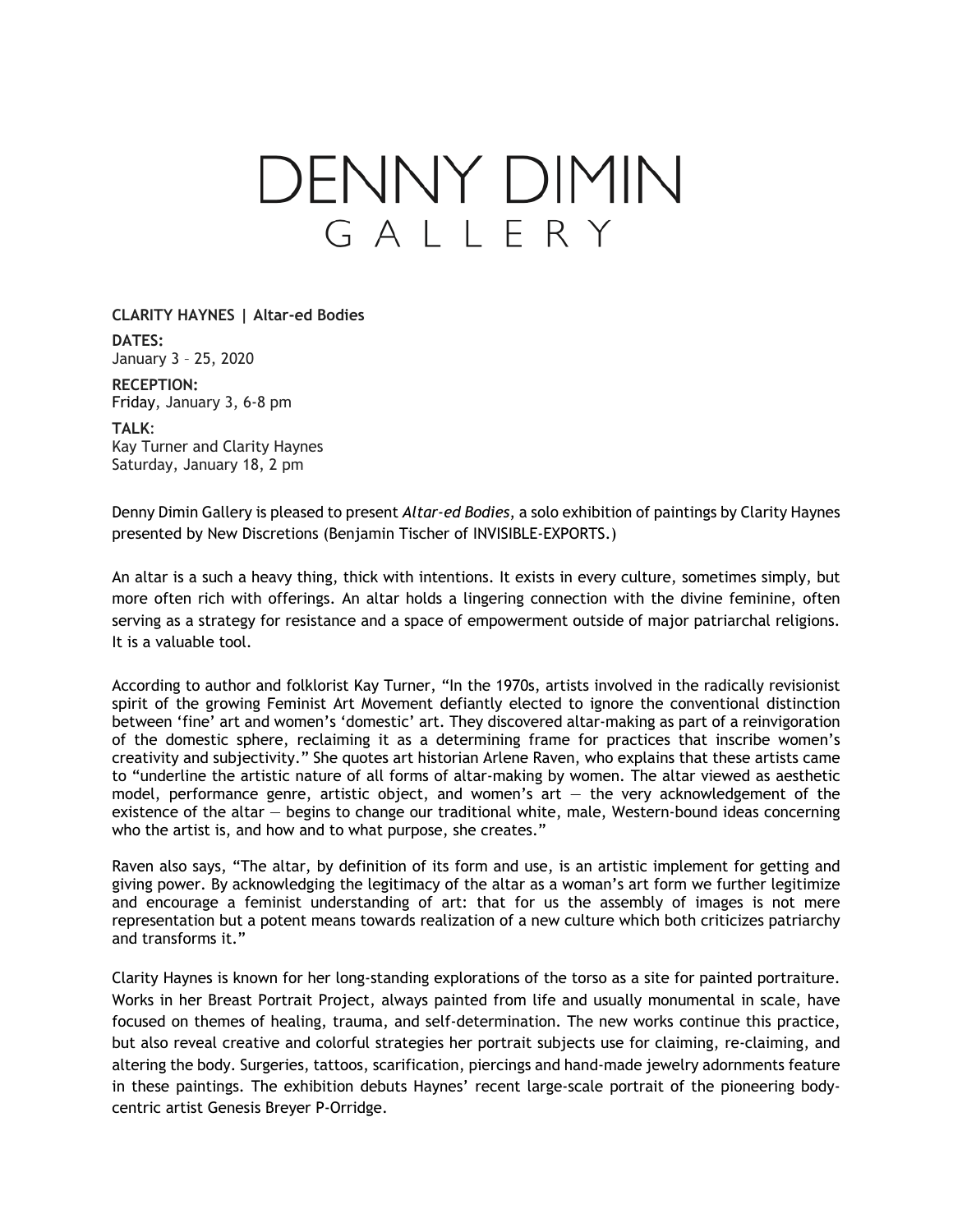## DENNY DIMIN GALLERY

## **CLARITY HAYNES | Altar-ed Bodies**

**DATES:** January 3 – 25, 2020

**RECEPTION:** Friday, January 3, 6-8 pm

## **TALK**:

Kay Turner and Clarity Haynes Saturday, January 18, 2 pm

Denny Dimin Gallery is pleased to present *Altar-ed Bodies*, a solo exhibition of paintings by Clarity Haynes presented by New Discretions (Benjamin Tischer of INVISIBLE-EXPORTS.)

An altar is a such a heavy thing, thick with intentions. It exists in every culture, sometimes simply, but more often rich with offerings. An altar holds a lingering connection with the divine feminine, often serving as a strategy for resistance and a space of empowerment outside of major patriarchal religions. It is a valuable tool.

According to author and folklorist Kay Turner, "In the 1970s, artists involved in the radically revisionist spirit of the growing Feminist Art Movement defiantly elected to ignore the conventional distinction between 'fine' art and women's 'domestic' art. They discovered altar-making as part of a reinvigoration of the domestic sphere, reclaiming it as a determining frame for practices that inscribe women's creativity and subjectivity." She quotes art historian Arlene Raven, who explains that these artists came to "underline the artistic nature of all forms of altar-making by women. The altar viewed as aesthetic model, performance genre, artistic object, and women's art  $-$  the very acknowledgement of the existence of the altar — begins to change our traditional white, male, Western-bound ideas concerning who the artist is, and how and to what purpose, she creates."

Raven also says, "The altar, by definition of its form and use, is an artistic implement for getting and giving power. By acknowledging the legitimacy of the altar as a woman's art form we further legitimize and encourage a feminist understanding of art: that for us the assembly of images is not mere representation but a potent means towards realization of a new culture which both criticizes patriarchy and transforms it."

Clarity Haynes is known for her long-standing explorations of the torso as a site for painted portraiture. Works in her Breast Portrait Project, always painted from life and usually monumental in scale, have focused on themes of healing, trauma, and self-determination. The new works continue this practice, but also reveal creative and colorful strategies her portrait subjects use for claiming, re-claiming, and altering the body. Surgeries, tattoos, scarification, piercings and hand-made jewelry adornments feature in these paintings. The exhibition debuts Haynes' recent large-scale portrait of the pioneering bodycentric artist Genesis Breyer P-Orridge.